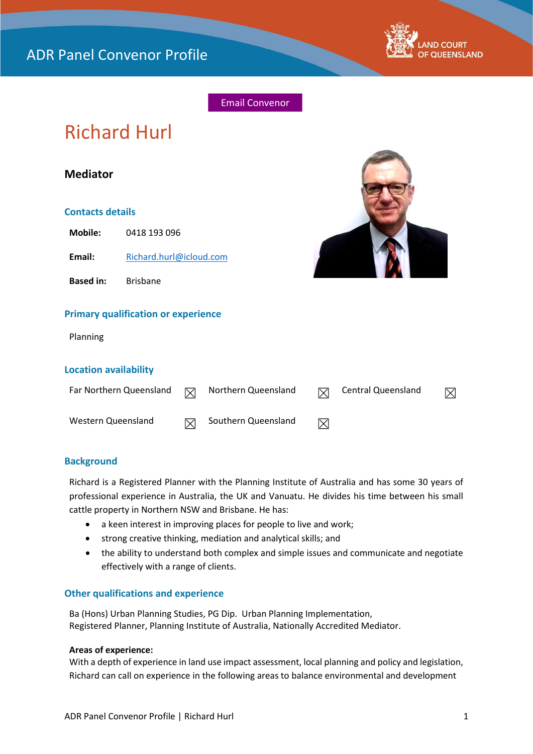

# Email Convenor

# Richard Hurl

# **Mediator**

#### **Contacts details**

**Mobile:** 0418 193 096

Email: [Richard.hurl@icloud.com](mailto:Richard.hurl@icloud.com)

**Based in:** Brisbane





#### **Primary qualification or experience**

Planning

#### **Location availability**

| Far Northern Queensland | $\boxtimes$ | Northern Queensland | $\boxtimes$ | Central Queensland | $\boxtimes$ |
|-------------------------|-------------|---------------------|-------------|--------------------|-------------|
| Western Queensland      |             | Southern Queensland | $\bowtie$   |                    |             |

# **Background**

Richard is a Registered Planner with the Planning Institute of Australia and has some 30 years of professional experience in Australia, the UK and Vanuatu. He divides his time between his small cattle property in Northern NSW and Brisbane. He has:

- a keen interest in improving places for people to live and work;
- strong creative thinking, mediation and analytical skills; and
- the ability to understand both complex and simple issues and communicate and negotiate effectively with a range of clients.

# **Other qualifications and experience**

Ba (Hons) Urban Planning Studies, PG Dip. Urban Planning Implementation, Registered Planner, Planning Institute of Australia, Nationally Accredited Mediator.

#### **Areas of experience:**

With a depth of experience in land use impact assessment, local planning and policy and legislation, Richard can call on experience in the following areas to balance environmental and development